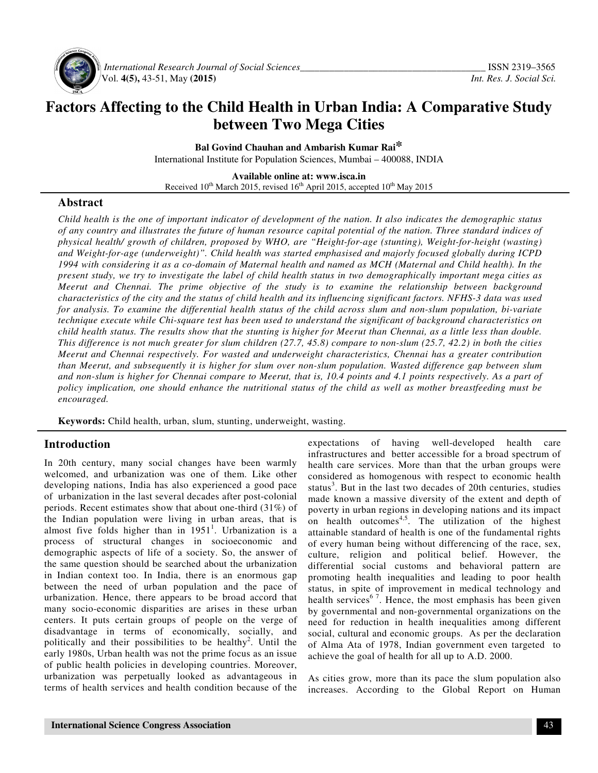

 *International Research Journal of Social Sciences\_\_\_\_\_\_\_\_\_\_\_\_\_\_\_\_\_\_\_\_\_\_\_\_\_\_\_\_\_\_\_\_\_\_\_\_\_\_* ISSN 2319–3565 Vol. **4(5),** 43-51, May **(2015)** *Int. Res. J. Social Sci.*

# **Factors Affecting to the Child Health in Urban India: A Comparative Study between Two Mega Cities**

**Bal Govind Chauhan and Ambarish Kumar Rai\*** International Institute for Population Sciences, Mumbai – 400088, INDIA

**Available online at: www.isca.in**  Received 10<sup>th</sup> March 2015, revised 16<sup>th</sup> April 2015, accepted 10<sup>th</sup> May 2015

#### **Abstract**

*Child health is the one of important indicator of development of the nation. It also indicates the demographic status of any country and illustrates the future of human resource capital potential of the nation. Three standard indices of physical health/ growth of children, proposed by WHO, are "Height-for-age (stunting), Weight-for-height (wasting) and Weight-for-age (underweight)". Child health was started emphasised and majorly focused globally during ICPD 1994 with considering it as a co-domain of Maternal health and named as MCH (Maternal and Child health). In the present study, we try to investigate the label of child health status in two demographically important mega cities as Meerut and Chennai. The prime objective of the study is to examine the relationship between background characteristics of the city and the status of child health and its influencing significant factors. NFHS-3 data was used for analysis. To examine the differential health status of the child across slum and non-slum population, bi-variate technique execute while Chi-square test has been used to understand the significant of background characteristics on child health status. The results show that the stunting is higher for Meerut than Chennai, as a little less than double. This difference is not much greater for slum children (27.7, 45.8) compare to non-slum (25.7, 42.2) in both the cities Meerut and Chennai respectively. For wasted and underweight characteristics, Chennai has a greater contribution than Meerut, and subsequently it is higher for slum over non-slum population. Wasted difference gap between slum and non-slum is higher for Chennai compare to Meerut, that is, 10.4 points and 4.1 points respectively. As a part of policy implication, one should enhance the nutritional status of the child as well as mother breastfeeding must be encouraged.* 

**Keywords:** Child health, urban, slum, stunting, underweight, wasting.

## **Introduction**

In 20th century, many social changes have been warmly welcomed, and urbanization was one of them. Like other developing nations, India has also experienced a good pace of urbanization in the last several decades after post-colonial periods. Recent estimates show that about one-third (31%) of the Indian population were living in urban areas, that is almost five folds higher than in  $1951<sup>1</sup>$ . Urbanization is a process of structural changes in socioeconomic and demographic aspects of life of a society. So, the answer of the same question should be searched about the urbanization in Indian context too. In India, there is an enormous gap between the need of urban population and the pace of urbanization. Hence, there appears to be broad accord that many socio-economic disparities are arises in these urban centers. It puts certain groups of people on the verge of disadvantage in terms of economically, socially, and politically and their possibilities to be healthy<sup>2</sup>. Until the early 1980s, Urban health was not the prime focus as an issue of public health policies in developing countries. Moreover, urbanization was perpetually looked as advantageous in terms of health services and health condition because of the

expectations of having well-developed health care infrastructures and better accessible for a broad spectrum of health care services. More than that the urban groups were considered as homogenous with respect to economic health status<sup>3</sup>. But in the last two decades of 20th centuries, studies made known a massive diversity of the extent and depth of poverty in urban regions in developing nations and its impact on health outcomes<sup>4,5</sup>. The utilization of the highest attainable standard of health is one of the fundamental rights of every human being without differencing of the race, sex, culture, religion and political belief. However, the differential social customs and behavioral pattern are promoting health inequalities and leading to poor health status, in spite of improvement in medical technology and health services $6^7$ . Hence, the most emphasis has been given by governmental and non-governmental organizations on the need for reduction in health inequalities among different social, cultural and economic groups. As per the declaration of Alma Ata of 1978, Indian government even targeted to achieve the goal of health for all up to A.D. 2000.

As cities grow, more than its pace the slum population also increases. According to the Global Report on Human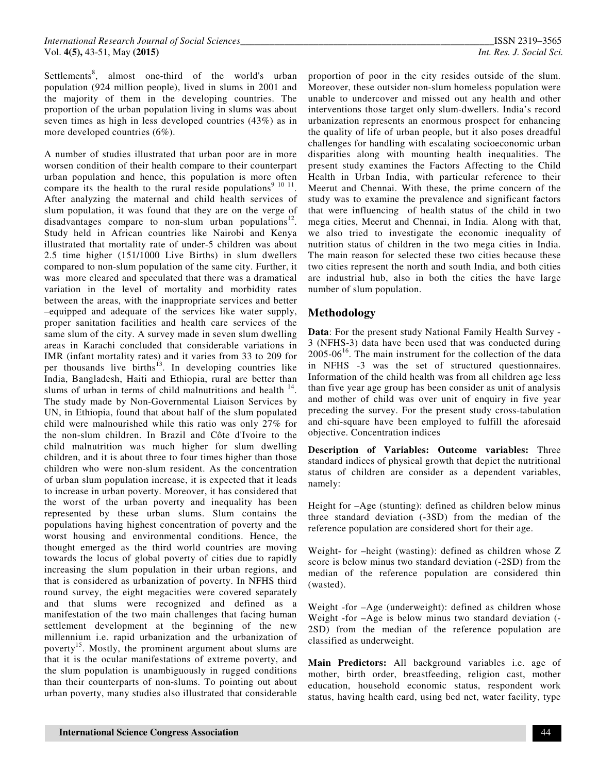Settlements<sup>8</sup>, almost one-third of the world's urban population (924 million people), lived in slums in 2001 and the majority of them in the developing countries. The proportion of the urban population living in slums was about seven times as high in less developed countries (43%) as in more developed countries (6%).

A number of studies illustrated that urban poor are in more worsen condition of their health compare to their counterpart urban population and hence, this population is more often compare its the health to the rural reside populations<sup>9 10 11</sup>. After analyzing the maternal and child health services of slum population, it was found that they are on the verge of disadvantages compare to non-slum urban populations<sup>12</sup>. Study held in African countries like Nairobi and Kenya illustrated that mortality rate of under-5 children was about 2.5 time higher (151/1000 Live Births) in slum dwellers compared to non-slum population of the same city. Further, it was more cleared and speculated that there was a dramatical variation in the level of mortality and morbidity rates between the areas, with the inappropriate services and better –equipped and adequate of the services like water supply, proper sanitation facilities and health care services of the same slum of the city. A survey made in seven slum dwelling areas in Karachi concluded that considerable variations in IMR (infant mortality rates) and it varies from 33 to 209 for per thousands live births<sup>13</sup>. In developing countries like India, Bangladesh, Haiti and Ethiopia, rural are better than slums of urban in terms of child malnutritions and health  $14$ . The study made by Non-Governmental Liaison Services by UN, in Ethiopia, found that about half of the slum populated child were malnourished while this ratio was only 27% for the non-slum children. In Brazil and Côte d'Ivoire to the child malnutrition was much higher for slum dwelling children, and it is about three to four times higher than those children who were non-slum resident. As the concentration of urban slum population increase, it is expected that it leads to increase in urban poverty. Moreover, it has considered that the worst of the urban poverty and inequality has been represented by these urban slums. Slum contains the populations having highest concentration of poverty and the worst housing and environmental conditions. Hence, the thought emerged as the third world countries are moving towards the locus of global poverty of cities due to rapidly increasing the slum population in their urban regions, and that is considered as urbanization of poverty. In NFHS third round survey, the eight megacities were covered separately and that slums were recognized and defined as a manifestation of the two main challenges that facing human settlement development at the beginning of the new millennium i.e. rapid urbanization and the urbanization of poverty<sup>15</sup>. Mostly, the prominent argument about slums are that it is the ocular manifestations of extreme poverty, and the slum population is unambiguously in rugged conditions than their counterparts of non-slums. To pointing out about urban poverty, many studies also illustrated that considerable

proportion of poor in the city resides outside of the slum. Moreover, these outsider non-slum homeless population were unable to undercover and missed out any health and other interventions those target only slum-dwellers. India's record urbanization represents an enormous prospect for enhancing the quality of life of urban people, but it also poses dreadful challenges for handling with escalating socioeconomic urban disparities along with mounting health inequalities. The present study examines the Factors Affecting to the Child Health in Urban India, with particular reference to their Meerut and Chennai. With these, the prime concern of the study was to examine the prevalence and significant factors that were influencing of health status of the child in two mega cities, Meerut and Chennai, in India. Along with that, we also tried to investigate the economic inequality of nutrition status of children in the two mega cities in India. The main reason for selected these two cities because these two cities represent the north and south India, and both cities are industrial hub, also in both the cities the have large number of slum population.

#### **Methodology**

**Data**: For the present study National Family Health Survey - 3 (NFHS-3) data have been used that was conducted during  $2005-06<sup>16</sup>$ . The main instrument for the collection of the data in NFHS -3 was the set of structured questionnaires. Information of the child health was from all children age less than five year age group has been consider as unit of analysis and mother of child was over unit of enquiry in five year preceding the survey. For the present study cross-tabulation and chi-square have been employed to fulfill the aforesaid objective. Concentration indices

**Description of Variables: Outcome variables:** Three standard indices of physical growth that depict the nutritional status of children are consider as a dependent variables, namely:

Height for –Age (stunting): defined as children below minus three standard deviation (-3SD) from the median of the reference population are considered short for their age.

Weight- for –height (wasting): defined as children whose Z score is below minus two standard deviation (-2SD) from the median of the reference population are considered thin (wasted).

Weight -for –Age (underweight): defined as children whose Weight -for –Age is below minus two standard deviation (- 2SD) from the median of the reference population are classified as underweight.

**Main Predictors:** All background variables i.e. age of mother, birth order, breastfeeding, religion cast, mother education, household economic status, respondent work status, having health card, using bed net, water facility, type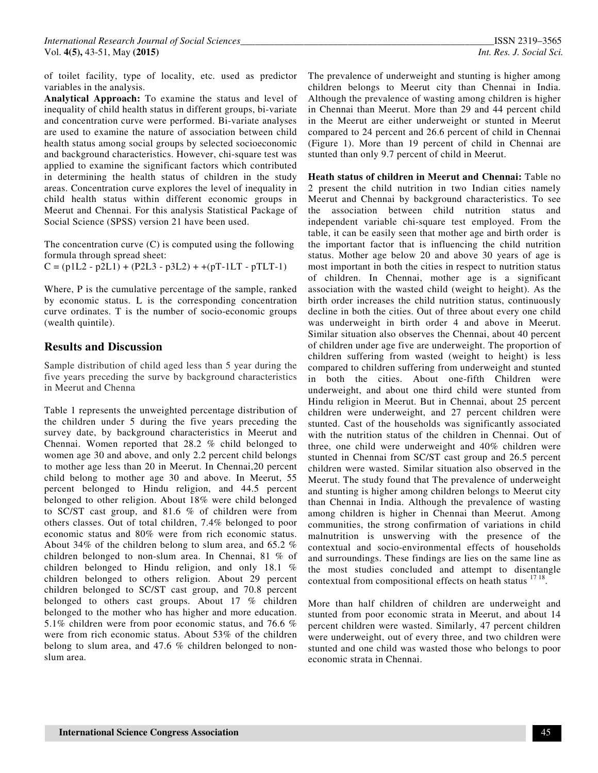of toilet facility, type of locality, etc. used as predictor variables in the analysis.

**Analytical Approach:** To examine the status and level of inequality of child health status in different groups, bi-variate and concentration curve were performed. Bi-variate analyses are used to examine the nature of association between child health status among social groups by selected socioeconomic and background characteristics. However, chi-square test was applied to examine the significant factors which contributed in determining the health status of children in the study areas. Concentration curve explores the level of inequality in child health status within different economic groups in Meerut and Chennai. For this analysis Statistical Package of Social Science (SPSS) version 21 have been used.

The concentration curve (C) is computed using the following formula through spread sheet:  $C = (p1L2 - p2L1) + (P2L3 - p3L2) + +(pT-1LT - pTLT-1)$ 

Where, P is the cumulative percentage of the sample, ranked by economic status. L is the corresponding concentration curve ordinates. T is the number of socio-economic groups (wealth quintile).

## **Results and Discussion**

Sample distribution of child aged less than 5 year during the five years preceding the surve by background characteristics in Meerut and Chenna

Table 1 represents the unweighted percentage distribution of the children under 5 during the five years preceding the survey date, by background characteristics in Meerut and Chennai. Women reported that 28.2 % child belonged to women age 30 and above, and only 2.2 percent child belongs to mother age less than 20 in Meerut. In Chennai,20 percent child belong to mother age 30 and above. In Meerut, 55 percent belonged to Hindu religion, and 44.5 percent belonged to other religion. About 18% were child belonged to SC/ST cast group, and 81.6 % of children were from others classes. Out of total children, 7.4% belonged to poor economic status and 80% were from rich economic status. About 34% of the children belong to slum area, and 65.2 % children belonged to non-slum area. In Chennai, 81 % of children belonged to Hindu religion, and only 18.1 % children belonged to others religion. About 29 percent children belonged to SC/ST cast group, and 70.8 percent belonged to others cast groups. About 17 % children belonged to the mother who has higher and more education. 5.1% children were from poor economic status, and 76.6 % were from rich economic status. About 53% of the children belong to slum area, and 47.6 % children belonged to nonslum area.

The prevalence of underweight and stunting is higher among children belongs to Meerut city than Chennai in India. Although the prevalence of wasting among children is higher in Chennai than Meerut. More than 29 and 44 percent child in the Meerut are either underweight or stunted in Meerut compared to 24 percent and 26.6 percent of child in Chennai (Figure 1). More than 19 percent of child in Chennai are stunted than only 9.7 percent of child in Meerut.

**Heath status of children in Meerut and Chennai:** Table no 2 present the child nutrition in two Indian cities namely Meerut and Chennai by background characteristics. To see the association between child nutrition status and independent variable chi-square test employed. From the table, it can be easily seen that mother age and birth order is the important factor that is influencing the child nutrition status. Mother age below 20 and above 30 years of age is most important in both the cities in respect to nutrition status of children. In Chennai, mother age is a significant association with the wasted child (weight to height). As the birth order increases the child nutrition status, continuously decline in both the cities. Out of three about every one child was underweight in birth order 4 and above in Meerut. Similar situation also observes the Chennai, about 40 percent of children under age five are underweight. The proportion of children suffering from wasted (weight to height) is less compared to children suffering from underweight and stunted in both the cities. About one-fifth Children were underweight, and about one third child were stunted from Hindu religion in Meerut. But in Chennai, about 25 percent children were underweight, and 27 percent children were stunted. Cast of the households was significantly associated with the nutrition status of the children in Chennai. Out of three, one child were underweight and 40% children were stunted in Chennai from SC/ST cast group and 26.5 percent children were wasted. Similar situation also observed in the Meerut. The study found that The prevalence of underweight and stunting is higher among children belongs to Meerut city than Chennai in India. Although the prevalence of wasting among children is higher in Chennai than Meerut. Among communities, the strong confirmation of variations in child malnutrition is unswerving with the presence of the contextual and socio-environmental effects of households and surroundings. These findings are lies on the same line as the most studies concluded and attempt to disentangle contextual from compositional effects on heath status <sup>17 18</sup> .

More than half children of children are underweight and stunted from poor economic strata in Meerut, and about 14 percent children were wasted. Similarly, 47 percent children were underweight, out of every three, and two children were stunted and one child was wasted those who belongs to poor economic strata in Chennai.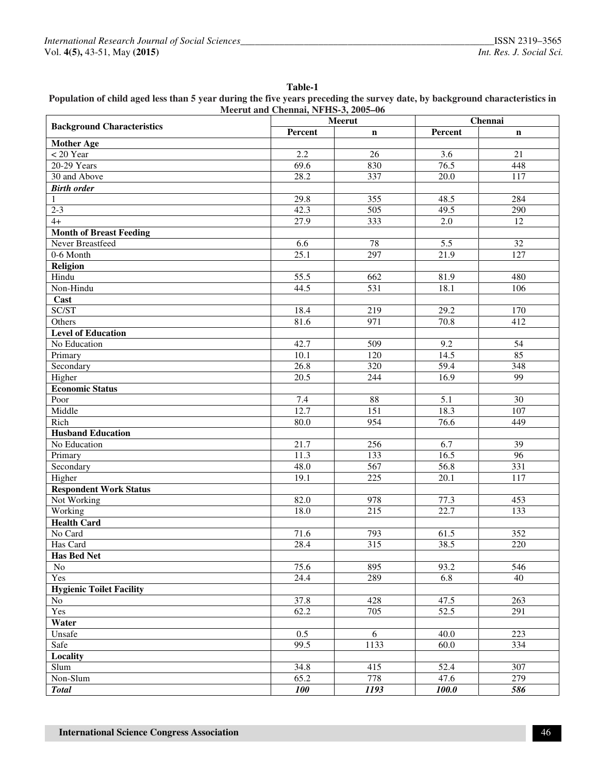## **Table-1 Population of child aged less than 5 year during the five years preceding the survey date, by background characteristics in Meerut and Chennai, NFHS-3, 2005–06**

| <b>Background Characteristics</b> | Meerut            |                  | Chennai           |                  |  |
|-----------------------------------|-------------------|------------------|-------------------|------------------|--|
|                                   | Percent           | $\mathbf n$      | Percent           | $\mathbf n$      |  |
| <b>Mother Age</b>                 |                   |                  |                   |                  |  |
| $< 20$ Year                       | 2.2               | $\overline{26}$  | $\overline{3.6}$  | $\overline{21}$  |  |
| 20-29 Years                       | 69.6              | 830              | 76.5              | 448              |  |
| 30 and Above                      | 28.2              | 337              | 20.0              | $\overline{117}$ |  |
| <b>Birth order</b>                |                   |                  |                   |                  |  |
| $\mathbf{1}$                      | 29.8              | 355              | 48.5              | 284              |  |
| $2-3$                             | 42.3              | $\overline{505}$ | 49.5              | 290              |  |
| $4+$                              | 27.9              | 333              | $\overline{2.0}$  | $\overline{12}$  |  |
| <b>Month of Breast Feeding</b>    |                   |                  |                   |                  |  |
| Never Breastfeed                  | 6.6               | 78               | 5.5               | $\overline{32}$  |  |
| 0-6 Month                         | 25.1              | 297              | $\overline{21.9}$ | $\overline{127}$ |  |
| <b>Religion</b>                   |                   |                  |                   |                  |  |
| Hindu                             | $\overline{55.5}$ | $\overline{662}$ | 81.9              | 480              |  |
| Non-Hindu                         | 44.5              | 531              | 18.1              | 106              |  |
| Cast                              |                   |                  |                   |                  |  |
| SC/ST                             | 18.4              | 219              | 29.2              | 170              |  |
| Others                            | 81.6              | 971              | 70.8              | 412              |  |
| <b>Level of Education</b>         |                   |                  |                   |                  |  |
| No Education                      | 42.7              | 509              | 9.2               | 54               |  |
| Primary                           | $\overline{10.1}$ | $\frac{120}{2}$  | 14.5              | 85               |  |
| Secondary                         | 26.8              | $\overline{320}$ | $\overline{59.4}$ | 348              |  |
| Higher                            | $\overline{20.5}$ | 244              | 16.9              | $\overline{99}$  |  |
| <b>Economic Status</b>            |                   |                  |                   |                  |  |
| Poor                              | 7.4               | 88               | $\overline{5.1}$  | $\overline{30}$  |  |
| Middle                            | 12.7              | 151              | 18.3              | 107              |  |
| Rich                              | 80.0              | 954              | 76.6              | 449              |  |
| <b>Husband Education</b>          |                   |                  |                   |                  |  |
| No Education                      | 21.7              | 256              | 6.7               | $\overline{39}$  |  |
| Primary                           | 11.3              | 133              | 16.5              | $\overline{96}$  |  |
| Secondary                         | 48.0              | 567              | 56.8              | $\overline{331}$ |  |
| Higher                            | 19.1              | $\overline{225}$ | 20.1              | 117              |  |
| <b>Respondent Work Status</b>     |                   |                  |                   |                  |  |
| Not Working                       | 82.0              | 978              | 77.3              | 453              |  |
| Working                           | 18.0              | $\overline{215}$ | 22.7              | 133              |  |
| <b>Health Card</b>                |                   |                  |                   |                  |  |
| No Card                           | 71.6              | 793              | 61.5              | 352              |  |
| Has Card                          | 28.4              | 315              | 38.5              | 220              |  |
| <b>Has Bed Net</b>                |                   |                  |                   |                  |  |
| No                                | 75.6              | 895              | 93.2              | 546              |  |
| Yes                               | 24.4              | 289              | 6.8               | 40               |  |
| <b>Hygienic Toilet Facility</b>   |                   |                  |                   |                  |  |
| No                                | 37.8              | 428              | 47.5              | 263              |  |
| Yes                               | 62.2              | $\overline{705}$ | 52.5              | 291              |  |
| Water                             |                   |                  |                   |                  |  |
| Unsafe                            | 0.5               | 6                | 40.0              | $\overline{223}$ |  |
| Safe                              | 99.5              | 1133             | 60.0              | 334              |  |
| Locality                          |                   |                  |                   |                  |  |
| Slum                              | 34.8              | 415              | 52.4              | 307              |  |
| Non-Slum                          | 65.2              | 778              | 47.6              | 279              |  |
| <b>Total</b>                      | 100               | 1193             | 100.0             | 586              |  |
|                                   |                   |                  |                   |                  |  |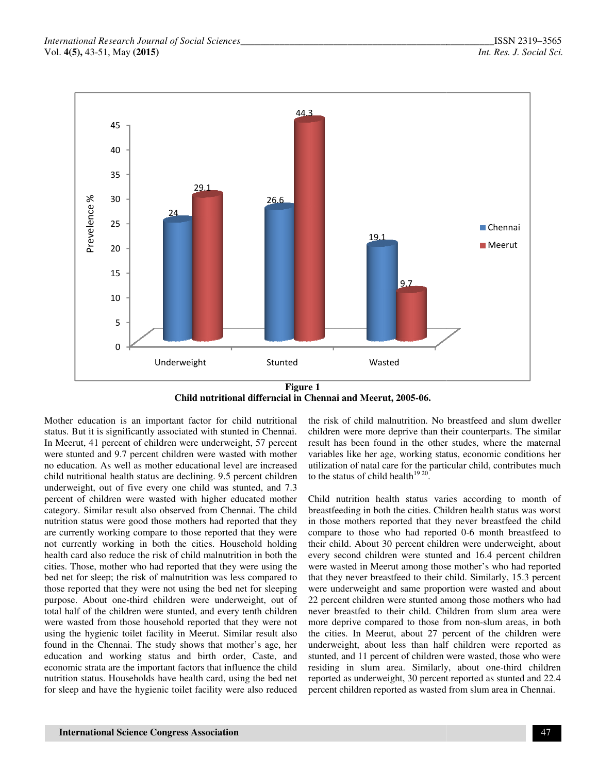

**Child nutritional differncial in Chennai and Meerut, 2005-06.** 

Mother education is an important factor for child nutritional status. But it is significantly associated with stunted in Chennai. In Meerut, 41 percent of children were underweight, 57 percent were stunted and 9.7 percent children were wasted with mother no education. As well as mother educational level are increased child nutritional health status are declining. 9.5 percent children underweight, out of five every one child was stunted, and 7.3 percent of children were wasted with higher educated mother category. Similar result also observed from Chennai. The child nutrition status were good those mothers had reported that they are currently working compare to those reported that they were not currently working in both the cities. Household holding health card also reduce the risk of child malnutrition in both the cities. Those, mother who had reported that they were using the bed net for sleep; the risk of malnutrition was less compared to those reported that they were not using the bed net for sleeping purpose. About one-third children were underweight, out of total half of the children were stunted, and every tenth children were wasted from those household reported that they were not using the hygienic toilet facility in Meerut. Similar result also found in the Chennai. The study shows that mother's age, her education and working status and birth order, Caste, and economic strata are the important factors that influence the child nutrition status. Households have health card, using the bed net for sleep and have the hygienic toilet facility were also reduced Mother education is an important factor for child nutritional the risk of child malutation. No breastfeed and slum dweller<br>where ducation is standard in Chennia. Children were more deprive than the riculter<br>gates. But it i

children were more deprive than their counterparts. The similar result has been found in the other studes, where the maternal variables like her age, working status, economic conditions her utilization of natal care for the particular child, contributes much to the status of child health $1920$ . the risk of child malnutrition. No breastfeed and slum dweller children were more deprive than their counterparts. The similar result has been found in the other studes, where the maternal variables like her age, working s

Child nutrition health status varies according to month of breastfeeding in both the cities. Children health status was worst in those mothers reported that they never breastfeed the child compare to those who had reported 0-6 month breastfeed to their child. About 30 percent children were underweight, about every second children were stunted and 16.4 percent children were wasted in Meerut among those mother's who had reported that they never breastfeed to their child. Similarly, 15.3 percent were underweight and same proportion were wasted and about 22 percent children were stunted among those mothers who had never breastfed to their child. Children from slum area were more deprive compared to those from non-slum areas, in both the cities. In Meerut, about 27 percent of the children were underweight, about less than half children were reported as stunted, and 11 percent of children were wasted, those who were residing in slum area. Similarly, about one-third children reported as underweight, 30 percent reported as stunted and 22.4 percent children reported as wasted from slum area in Chennai. their child. About 30 percent children were underweight, about every second children were stunted and 16.4 percent children were wasted in Meerut among those mother's who had reported that they never breastfeed to their ch the cities. In Meerut, about 27 percent of the children were underweight, about less than half children were reported as stunted, and 11 percent of children were wasted, those who were residing in slum area. Similarly, abo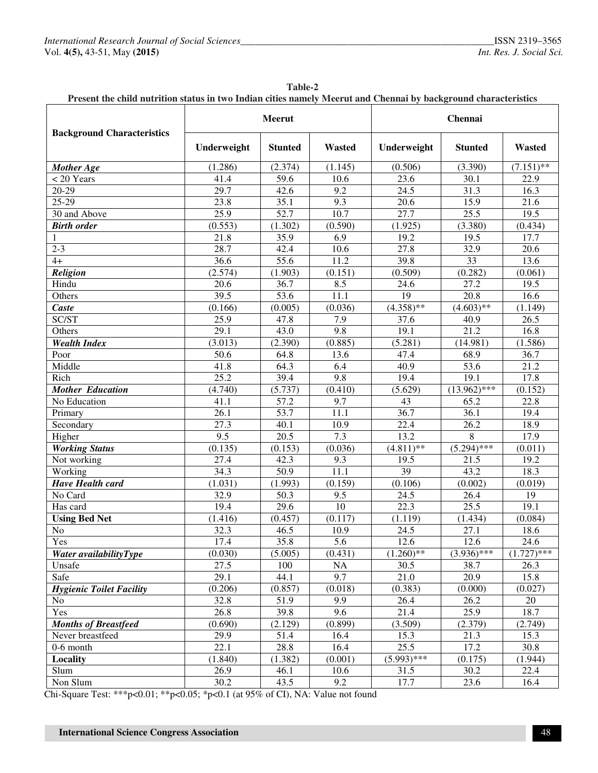| Present the child nutrition status in two Indian cities namely Meerut and Chennai by background characteristics |             |                |                  |               |                |               |  |  |
|-----------------------------------------------------------------------------------------------------------------|-------------|----------------|------------------|---------------|----------------|---------------|--|--|
| <b>Background Characteristics</b>                                                                               | Meerut      |                |                  | Chennai       |                |               |  |  |
|                                                                                                                 | Underweight | <b>Stunted</b> | Wasted           | Underweight   | <b>Stunted</b> | <b>Wasted</b> |  |  |
| Mother Age                                                                                                      | (1.286)     | (2.374)        | (1.145)          | (0.506)       | (3.390)        | $(7.151)$ **  |  |  |
| $<$ 20 Years                                                                                                    | 41.4        | 59.6           | 10.6             | 23.6          | 30.1           | 22.9          |  |  |
| 20-29                                                                                                           | 29.7        | 42.6           | 9.2              | 24.5          | 31.3           | 16.3          |  |  |
| 25-29                                                                                                           | 23.8        | 35.1           | 9.3              | 20.6          | 15.9           | 21.6          |  |  |
| 30 and Above                                                                                                    | 25.9        | 52.7           | 10.7             | 27.7          | 25.5           | 19.5          |  |  |
| <b>Birth order</b>                                                                                              | (0.553)     | (1.302)        | (0.590)          | (1.925)       | (3.380)        | (0.434)       |  |  |
| 1                                                                                                               | 21.8        | 35.9           | 6.9              | 19.2          | 19.5           | 17.7          |  |  |
| $2 - 3$                                                                                                         | 28.7        | 42.4           | 10.6             | 27.8          | 32.9           | 20.6          |  |  |
| $4+$                                                                                                            | 36.6        | 55.6           | 11.2             | 39.8          | 33             | 13.6          |  |  |
| <b>Religion</b>                                                                                                 | (2.574)     | (1.903)        | (0.151)          | (0.509)       | (0.282)        | (0.061)       |  |  |
| Hindu                                                                                                           | 20.6        | 36.7           | 8.5              | 24.6          | 27.2           | 19.5          |  |  |
| Others                                                                                                          | 39.5        | 53.6           | 11.1             | 19            | 20.8           | 16.6          |  |  |
| Caste                                                                                                           | (0.166)     | (0.005)        | (0.036)          | $(4.358)$ **  | $(4.603)$ **   | (1.149)       |  |  |
| SC/ST                                                                                                           | 25.9        | 47.8           | 7.9              | 37.6          | 40.9           | 26.5          |  |  |
| Others                                                                                                          | 29.1        | 43.0           | 9.8              | 19.1          | 21.2           | 16.8          |  |  |
| <b>Wealth Index</b>                                                                                             | (3.013)     | (2.390)        | (0.885)          | (5.281)       | (14.981)       | (1.586)       |  |  |
| Poor                                                                                                            | 50.6        | 64.8           | 13.6             | 47.4          | 68.9           | 36.7          |  |  |
| Middle                                                                                                          | 41.8        | 64.3           | 6.4              | 40.9          | 53.6           | 21.2          |  |  |
| Rich                                                                                                            | 25.2        | 39.4           | $9.\overline{8}$ | 19.4          | 19.1           | 17.8          |  |  |
| <b>Mother Education</b>                                                                                         | (4.740)     | (5.737)        | (0.410)          | (5.629)       | $(13.962)$ *** | (0.152)       |  |  |
| No Education                                                                                                    | 41.1        | 57.2           | 9.7              | 43            | 65.2           | 22.8          |  |  |
| Primary                                                                                                         | 26.1        | 53.7           | 11.1             | 36.7          | 36.1           | 19.4          |  |  |
| Secondary                                                                                                       | 27.3        | 40.1           | 10.9             | 22.4          | 26.2           | 18.9          |  |  |
| Higher                                                                                                          | 9.5         | 20.5           | 7.3              | 13.2          | 8              | 17.9          |  |  |
| <b>Working Status</b>                                                                                           | (0.135)     | (0.153)        | (0.036)          | $(4.811)$ **  | $(5.294)$ ***  | (0.011)       |  |  |
| Not working                                                                                                     | 27.4        | 42.3           | 9.3              | 19.5          | 21.5           | 19.2          |  |  |
| Working                                                                                                         | 34.3        | 50.9           | 11.1             | 39            | 43.2           | 18.3          |  |  |
| <b>Have Health card</b>                                                                                         | (1.031)     | (1.993)        | (0.159)          | (0.106)       | (0.002)        | (0.019)       |  |  |
| No Card                                                                                                         | 32.9        | 50.3           | 9.5              | 24.5          | 26.4           | 19            |  |  |
| Has card                                                                                                        | 19.4        | 29.6           | 10               | 22.3          | 25.5           | 19.1          |  |  |
| <b>Using Bed Net</b>                                                                                            | (1.416)     | (0.457)        | (0.117)          | (1.119)       | (1.434)        | (0.084)       |  |  |
| No                                                                                                              | 32.3        | 46.5           | 10.9             | 24.5          | 27.1           | 18.6          |  |  |
| Yes                                                                                                             | 17.4        | 35.8           | 5.6              | 12.6          | 12.6           | 24.6          |  |  |
| Water availabilityType                                                                                          | (0.030)     | (5.005)        | (0.431)          | $(1.260)$ **  | $(3.936)$ ***  | $(1.727)$ *** |  |  |
| Unsafe                                                                                                          | 27.5        | 100            | NA               | 30.5          | 38.7           | 26.3          |  |  |
| Safe                                                                                                            | 29.1        | 44.1           | 9.7              | 21.0          | 20.9           | 15.8          |  |  |
| <b>Hygienic Toilet Facility</b>                                                                                 | (0.206)     | (0.857)        | (0.018)          | (0.383)       | (0.000)        | (0.027)       |  |  |
| N <sub>0</sub>                                                                                                  | 32.8        | 51.9           | 9.9              | 26.4          | 26.2           | 20            |  |  |
| Yes                                                                                                             | 26.8        | 39.8           | 9.6              | 21.4          | 25.9           | 18.7          |  |  |
| <b>Months of Breastfeed</b>                                                                                     | (0.690)     | (2.129)        | (0.899)          | (3.509)       | (2.379)        | (2.749)       |  |  |
| Never breastfeed                                                                                                | 29.9        | 51.4           | 16.4             | 15.3          | 21.3           | 15.3          |  |  |
| 0-6 month                                                                                                       | 22.1        | 28.8           | 16.4             | 25.5          | 17.2           | 30.8          |  |  |
| Locality                                                                                                        | (1.840)     | (1.382)        | (0.001)          | $(5.993)$ *** | (0.175)        | (1.944)       |  |  |
| Slum                                                                                                            | 26.9        | 46.1           | 10.6             | 31.5          | 30.2           | 22.4          |  |  |
| Non Slum                                                                                                        | 30.2        | 43.5           | 9.2              | 17.7          | 23.6           | 16.4          |  |  |

| <b>Table-2</b>                                                                                                  |
|-----------------------------------------------------------------------------------------------------------------|
| Present the child nutrition status in two Indian cities namely Meerut and Chennai by background characteristics |

Chi-Square Test: \*\*\*p<0.01; \*\*p<0.05; \*p<0.1 (at 95% of CI), NA: Value not found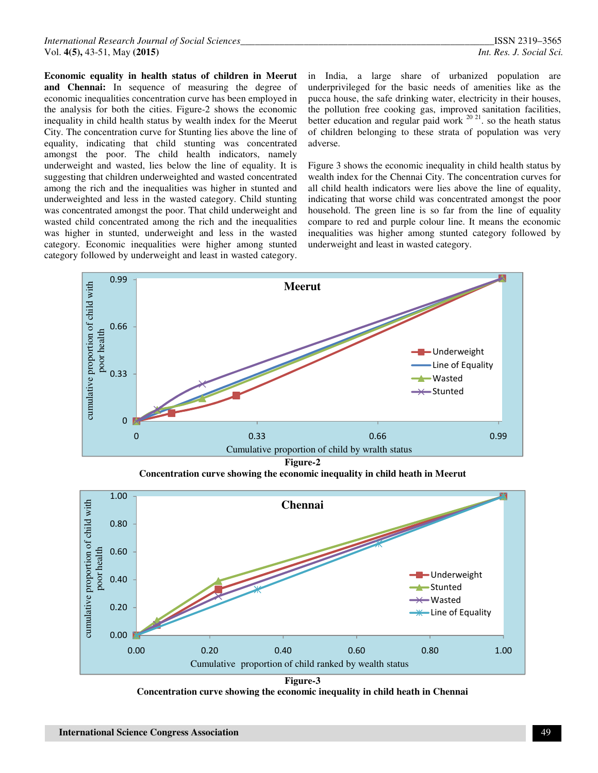**Economic equality in health status of children in Meerut and Chennai:** In sequence of measuring the degree of economic inequalities concentration curve has been employed in the analysis for both the cities. Figure-2 shows the economic inequality in child health status by wealth index for the Meerut City. The concentration curve for Stunting lies above the line of equality, indicating that child stunting was concentrated amongst the poor. The child health indicators, namely underweight and wasted, lies below the line of equality. It is suggesting that children underweighted and wasted concentrated among the rich and the inequalities was higher in stunted and underweighted and less in the wasted category. Child stunting was concentrated amongst the poor. That child underweight and wasted child concentrated among the rich and the inequalities was higher in stunted, underweight and less in the wasted category. Economic inequalities were higher among stunted category followed by underweight and least in wasted category.

in India, a large share of urbanized population are underprivileged for the basic needs of amenities like as the pucca house, the safe drinking water, electricity in their houses, the pollution free cooking gas, improved sanitation facilities, better education and regular paid work  $^{20\ 21}$ , so the heath status of children belonging to these strata of population was very adverse.

Figure 3 shows the economic inequality in child health status by wealth index for the Chennai City. The concentration curves for all child health indicators were lies above the line of equality, indicating that worse child was concentrated amongst the poor household. The green line is so far from the line of equality compare to red and purple colour line. It means the economic inequalities was higher among stunted category followed by underweight and least in wasted category.



**Concentration curve showing the economic inequality in child heath in Meerut** 



**Figure-3 Concentration curve showing the economic inequality in child heath in Chennai**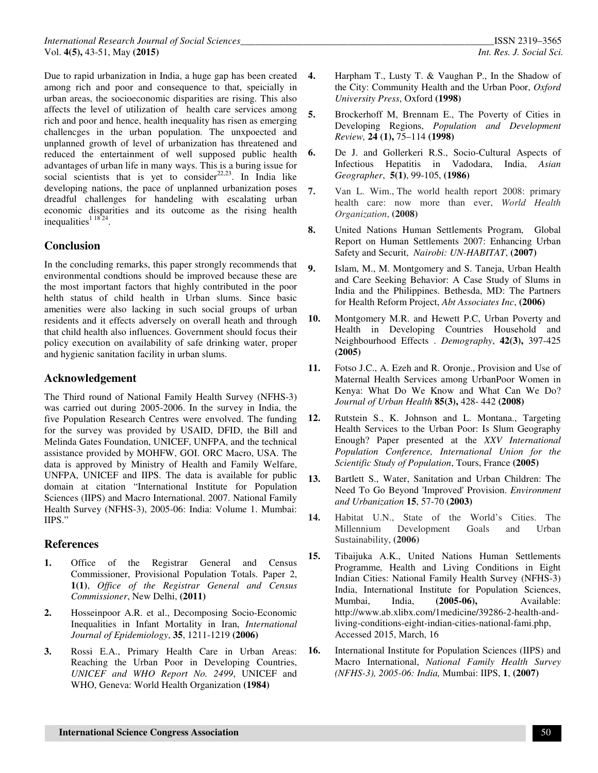Due to rapid urbanization in India, a huge gap has been created among rich and poor and consequence to that, speicially in urban areas, the socioeconomic disparities are rising. This also affects the level of utilization of health care services among rich and poor and hence, health inequality has risen as emerging challencges in the urban population. The unxpoected and unplanned growth of level of urbanization has threatened and reduced the entertainment of well supposed public health advantages of urban life in many ways. This is a buring issue for social scientists that is yet to consider $22,23$ . In India like developing nations, the pace of unplanned urbanization poses dreadful challenges for handeling with escalating urban economic disparities and its outcome as the rising health inequalities $11824$ .

## **Conclusion**

In the concluding remarks, this paper strongly recommends that environmental condtions should be improved because these are the most important factors that highly contributed in the poor helth status of child health in Urban slums. Since basic amenities were also lacking in such social groups of urban residents and it effects adversely on overall heath and through that child health also influences. Government should focus their policy execution on availability of safe drinking water, proper and hygienic sanitation facility in urban slums.

## **Acknowledgement**

The Third round of National Family Health Survey (NFHS-3) was carried out during 2005-2006. In the survey in India, the five Population Research Centres were envolved. The funding for the survey was provided by USAID, DFID, the Bill and Melinda Gates Foundation, UNICEF, UNFPA, and the technical assistance provided by MOHFW, GOI. ORC Macro, USA. The data is approved by Ministry of Health and Family Welfare, UNFPA, UNICEF and IIPS. The data is available for public domain at citation "International Institute for Population Sciences (IIPS) and Macro International. 2007. National Family Health Survey (NFHS-3), 2005-06: India: Volume 1. Mumbai: IIPS."

#### **References**

- **1.** Office of the Registrar General and Census Commissioner, Provisional Population Totals. Paper 2, **1(1)**, *Office of the Registrar General and Census Commissioner*, New Delhi, **(2011)**
- **2.** Hosseinpoor A.R. et al., Decomposing Socio-Economic Inequalities in Infant Mortality in Iran, *International Journal of Epidemiology*, **35**, 1211-1219 **(2006)**
- **3.** Rossi E.A., Primary Health Care in Urban Areas: Reaching the Urban Poor in Developing Countries, *UNICEF and WHO Report No. 2499*, UNICEF and WHO, Geneva: World Health Organization **(1984)**
- **4.** Harpham T., Lusty T. & Vaughan P., In the Shadow of the City: Community Health and the Urban Poor, *Oxford University Press*, Oxford **(1998)**
- **5.** Brockerhoff M, Brennam E., The Poverty of Cities in Developing Regions, *Population and Development Review,* **24 (1),** 75–114 **(1998)**
- **6.** De J. and Gollerkeri R.S., Socio-Cultural Aspects of Infectious Hepatitis in Vadodara, India, *Asian Geographer*, **5(1)**, 99-105, **(1986)**
- **7.** Van L. Wim., The world health report 2008: primary health care: now more than ever, *World Health Organization*, **(2008)**
- **8.** United Nations Human Settlements Program, Global Report on Human Settlements 2007: Enhancing Urban Safety and Securit, *Nairobi: UN-HABITAT*, **(2007)**
- **9.** Islam, M., M. Montgomery and S. Taneja, Urban Health and Care Seeking Behavior: A Case Study of Slums in India and the Philippines. Bethesda, MD: The Partners for Health Reform Project, *Abt Associates Inc*, **(2006)**
- **10.** Montgomery M.R. and Hewett P.C, Urban Poverty and Health in Developing Countries Household and Neighbourhood Effects . *Demography*, **42(3),** 397-425 **(2005)**
- **11.** Fotso J.C., A. Ezeh and R. Oronje., Provision and Use of Maternal Health Services among UrbanPoor Women in Kenya: What Do We Know and What Can We Do? *Journal of Urban Health* **85(3),** 428- 442 **(2008)**
- **12.** Rutstein S., K. Johnson and L. Montana., Targeting Health Services to the Urban Poor: Is Slum Geography Enough? Paper presented at the *XXV International Population Conference, International Union for the Scientific Study of Population*, Tours, France **(2005)**
- **13.** Bartlett S., Water, Sanitation and Urban Children: The Need To Go Beyond 'Improved' Provision. *Environment and Urbanization* **15**, 57-70 **(2003)**
- **14.** Habitat U.N., State of the World's Cities. The Millennium Development Goals and Urban Sustainability, **(2006)**
- **15.** Tibaijuka A.K., United Nations Human Settlements Programme*,* Health and Living Conditions in Eight Indian Cities: National Family Health Survey (NFHS-3) India, International Institute for Population Sciences,<br>Mumbai. India. (2005-06). Available: India, **(2005-06)**, http://www.ab.xlibx.com/1medicine/39286-2-health-andliving-conditions-eight-indian-cities-national-fami.php, Accessed 2015, March, 16
- **16.** International Institute for Population Sciences (IIPS) and Macro International, *National Family Health Survey (NFHS-3), 2005-06: India,* Mumbai: IIPS, **1**, **(2007)**